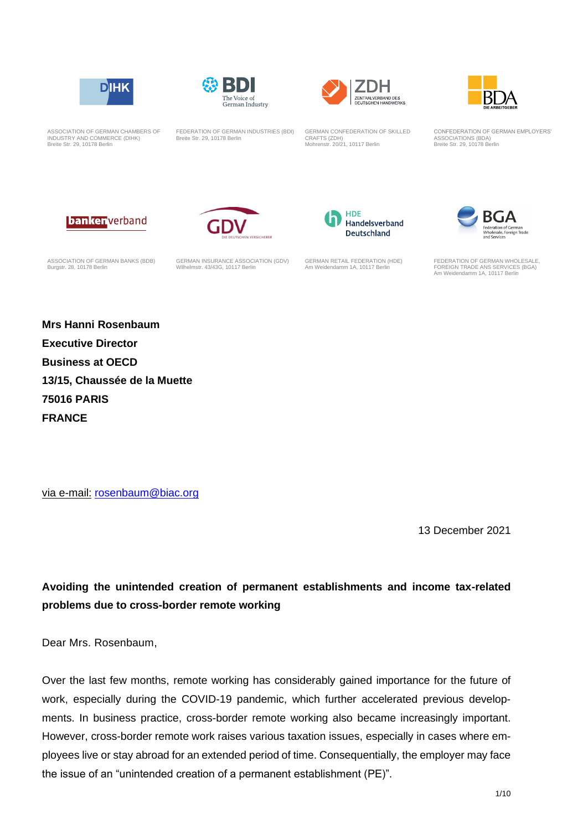







ASSOCIATION OF GERMAN CHAMBERS OF INDUSTRY AND COMMERCE (DIHK) Breite Str. 29, 10178 Berlin

FEDERATION OF GERMAN INDUSTRIES (BDI) Breite Str. 29, 10178 Berlin

GERMAN CONFEDERATION OF SKILLED CRAFTS (ZDH) Mohrenstr. 20/21, 10117 Berlin

CONFEDERATION OF GERMAN EMPLOYERS' ASSOCIATIONS (BDA) Breite Str. 29, 10178 Berlin







ASSOCIATION OF GERMAN BANKS (BDB) Burgstr. 28, 10178 Berlin

GERMAN INSURANCE ASSOCIATION (GDV) Wilhelmstr. 43/43G, 10117 Berlin

GERMAN RETAIL FEDERATION (HDE) Am Weidendamm 1A, 10117 Berlin



FEDERATION OF GERMAN WHOLESALE, FOREIGN TRADE ANS SERVICES (BGA) Am Weidendamm 1A, 10117 Berlin

**Mrs Hanni Rosenbaum Executive Director Business at OECD 13/15, Chaussée de la Muette 75016 PARIS FRANCE**

via e-mail: [rosenbaum@biac.org](mailto:rosenbaum@biac.org)

13 December 2021

**Avoiding the unintended creation of permanent establishments and income tax-related problems due to cross-border remote working**

Dear Mrs. Rosenbaum,

Over the last few months, remote working has considerably gained importance for the future of work, especially during the COVID-19 pandemic, which further accelerated previous developments. In business practice, cross-border remote working also became increasingly important. However, cross-border remote work raises various taxation issues, especially in cases where employees live or stay abroad for an extended period of time. Consequentially, the employer may face the issue of an "unintended creation of a permanent establishment (PE)".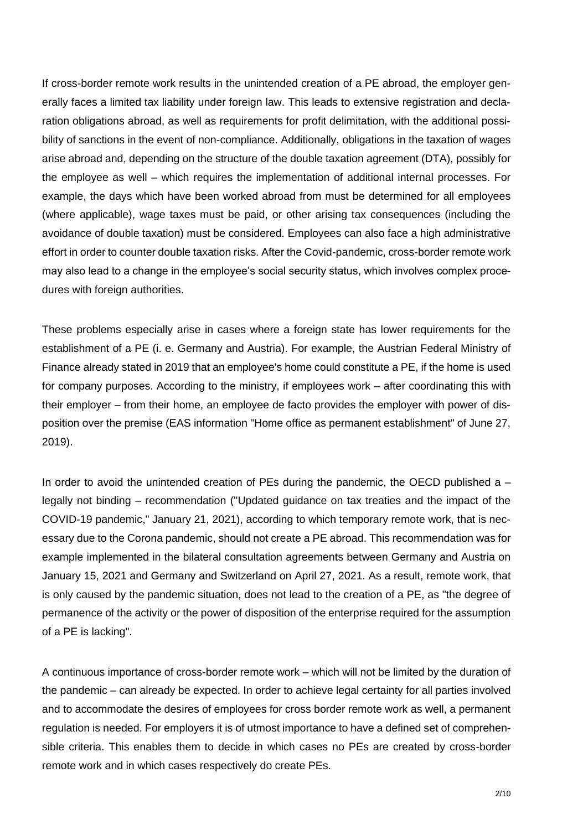If cross-border remote work results in the unintended creation of a PE abroad, the employer generally faces a limited tax liability under foreign law. This leads to extensive registration and declaration obligations abroad, as well as requirements for profit delimitation, with the additional possibility of sanctions in the event of non-compliance. Additionally, obligations in the taxation of wages arise abroad and, depending on the structure of the double taxation agreement (DTA), possibly for the employee as well – which requires the implementation of additional internal processes. For example, the days which have been worked abroad from must be determined for all employees (where applicable), wage taxes must be paid, or other arising tax consequences (including the avoidance of double taxation) must be considered. Employees can also face a high administrative effort in order to counter double taxation risks. After the Covid-pandemic, cross-border remote work may also lead to a change in the employee's social security status, which involves complex procedures with foreign authorities.

These problems especially arise in cases where a foreign state has lower requirements for the establishment of a PE (i. e. Germany and Austria). For example, the Austrian Federal Ministry of Finance already stated in 2019 that an employee's home could constitute a PE, if the home is used for company purposes. According to the ministry, if employees work – after coordinating this with their employer – from their home, an employee de facto provides the employer with power of disposition over the premise (EAS information "Home office as permanent establishment" of June 27, 2019).

In order to avoid the unintended creation of PEs during the pandemic, the OECD published a  $$ legally not binding – recommendation ("Updated guidance on tax treaties and the impact of the COVID-19 pandemic," January 21, 2021), according to which temporary remote work, that is necessary due to the Corona pandemic, should not create a PE abroad. This recommendation was for example implemented in the bilateral consultation agreements between Germany and Austria on January 15, 2021 and Germany and Switzerland on April 27, 2021. As a result, remote work, that is only caused by the pandemic situation, does not lead to the creation of a PE, as "the degree of permanence of the activity or the power of disposition of the enterprise required for the assumption of a PE is lacking".

A continuous importance of cross-border remote work – which will not be limited by the duration of the pandemic – can already be expected. In order to achieve legal certainty for all parties involved and to accommodate the desires of employees for cross border remote work as well, a permanent regulation is needed. For employers it is of utmost importance to have a defined set of comprehensible criteria. This enables them to decide in which cases no PEs are created by cross-border remote work and in which cases respectively do create PEs.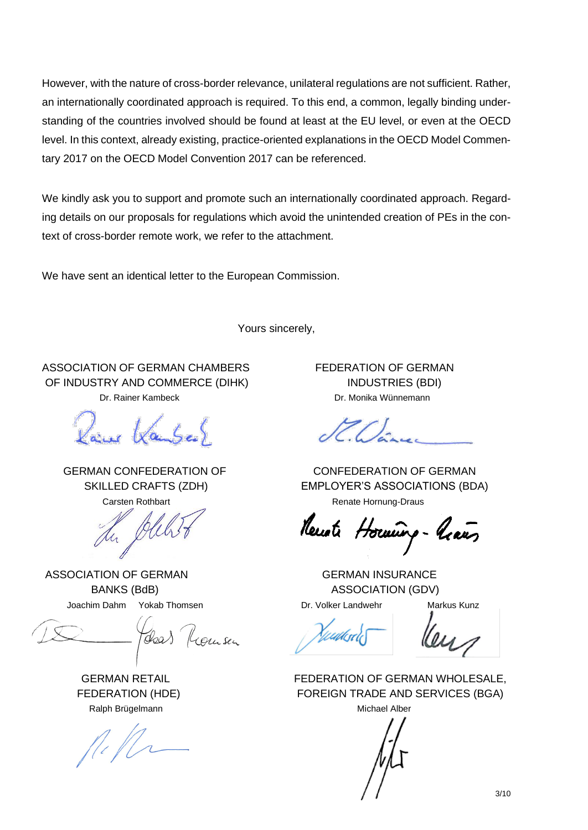However, with the nature of cross-border relevance, unilateral regulations are not sufficient. Rather, an internationally coordinated approach is required. To this end, a common, legally binding understanding of the countries involved should be found at least at the EU level, or even at the OECD level. In this context, already existing, practice-oriented explanations in the OECD Model Commentary 2017 on the OECD Model Convention 2017 can be referenced.

We kindly ask you to support and promote such an internationally coordinated approach. Regarding details on our proposals for regulations which avoid the unintended creation of PEs in the context of cross-border remote work, we refer to the attachment.

We have sent an identical letter to the European Commission.

Yours sincerely,

ASSOCIATION OF GERMAN CHAMBERS FEDERATION OF GERMAN OF INDUSTRY AND COMMERCE (DIHK) INDUSTRIES (BDI)

ASSOCIATION OF GERMAN GERMAN INSURANCE

Joachim Dahm Yokab Thomsen **Dr. Volker Landwehr** Markus Kunz

Ralph Brügelmann Michael Alber

Dr. Rainer Kambeck Dr. Monika Wünnemann

 GERMAN CONFEDERATION OF CONFEDERATION OF GERMAN SKILLED CRAFTS (ZDH) EMPLOYER'S ASSOCIATIONS (BDA) Carsten Rothbart **Carsten Rothbart** Carsten Rothbart **Renate Hornung-Draus** 

BANKS (BdB) ASSOCIATION (GDV)

 GERMAN RETAIL FEDERATION OF GERMAN WHOLESALE, FEDERATION (HDE) FOREIGN TRADE AND SERVICES (BGA)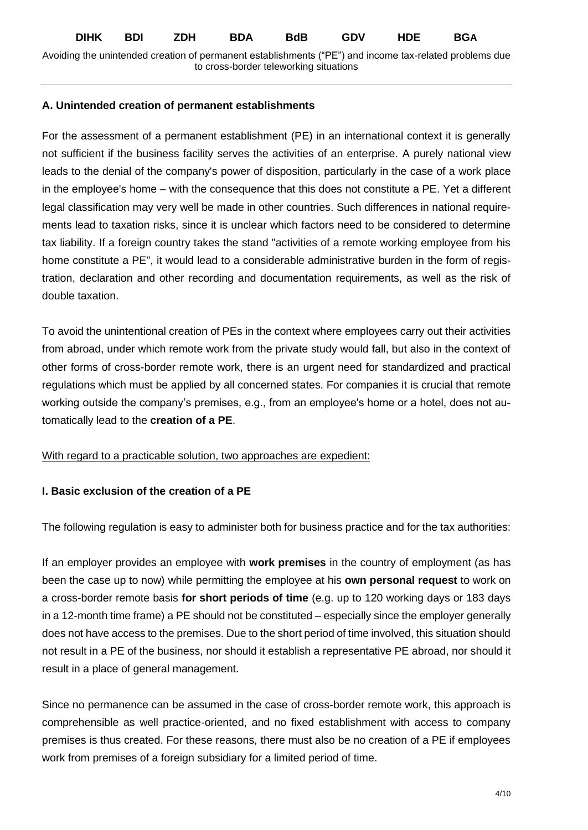#### **A. Unintended creation of permanent establishments**

For the assessment of a permanent establishment (PE) in an international context it is generally not sufficient if the business facility serves the activities of an enterprise. A purely national view leads to the denial of the company's power of disposition, particularly in the case of a work place in the employee's home – with the consequence that this does not constitute a PE. Yet a different legal classification may very well be made in other countries. Such differences in national requirements lead to taxation risks, since it is unclear which factors need to be considered to determine tax liability. If a foreign country takes the stand "activities of a remote working employee from his home constitute a PE", it would lead to a considerable administrative burden in the form of registration, declaration and other recording and documentation requirements, as well as the risk of double taxation.

To avoid the unintentional creation of PEs in the context where employees carry out their activities from abroad, under which remote work from the private study would fall, but also in the context of other forms of cross-border remote work, there is an urgent need for standardized and practical regulations which must be applied by all concerned states. For companies it is crucial that remote working outside the company's premises, e.g., from an employee's home or a hotel, does not automatically lead to the **creation of a PE**.

## With regard to a practicable solution, two approaches are expedient:

## **I. Basic exclusion of the creation of a PE**

The following regulation is easy to administer both for business practice and for the tax authorities:

If an employer provides an employee with **work premises** in the country of employment (as has been the case up to now) while permitting the employee at his **own personal request** to work on a cross-border remote basis **for short periods of time** (e.g. up to 120 working days or 183 days in a 12-month time frame) a PE should not be constituted – especially since the employer generally does not have access to the premises. Due to the short period of time involved, this situation should not result in a PE of the business, nor should it establish a representative PE abroad, nor should it result in a place of general management.

Since no permanence can be assumed in the case of cross-border remote work, this approach is comprehensible as well practice-oriented, and no fixed establishment with access to company premises is thus created. For these reasons, there must also be no creation of a PE if employees work from premises of a foreign subsidiary for a limited period of time.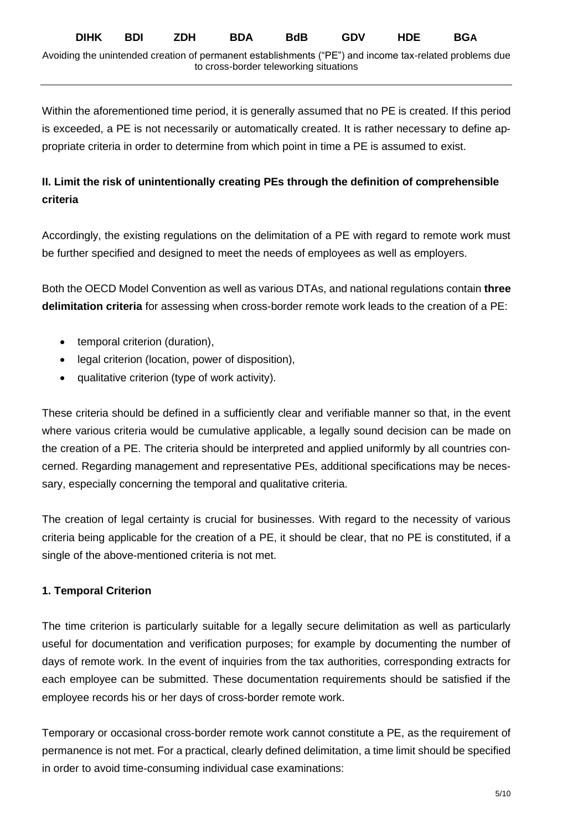Within the aforementioned time period, it is generally assumed that no PE is created. If this period is exceeded, a PE is not necessarily or automatically created. It is rather necessary to define appropriate criteria in order to determine from which point in time a PE is assumed to exist.

# **II. Limit the risk of unintentionally creating PEs through the definition of comprehensible criteria**

Accordingly, the existing regulations on the delimitation of a PE with regard to remote work must be further specified and designed to meet the needs of employees as well as employers.

Both the OECD Model Convention as well as various DTAs, and national regulations contain **three delimitation criteria** for assessing when cross-border remote work leads to the creation of a PE:

- temporal criterion (duration),
- legal criterion (location, power of disposition),
- qualitative criterion (type of work activity).

These criteria should be defined in a sufficiently clear and verifiable manner so that, in the event where various criteria would be cumulative applicable, a legally sound decision can be made on the creation of a PE. The criteria should be interpreted and applied uniformly by all countries concerned. Regarding management and representative PEs, additional specifications may be necessary, especially concerning the temporal and qualitative criteria.

The creation of legal certainty is crucial for businesses. With regard to the necessity of various criteria being applicable for the creation of a PE, it should be clear, that no PE is constituted, if a single of the above-mentioned criteria is not met.

# **1. Temporal Criterion**

The time criterion is particularly suitable for a legally secure delimitation as well as particularly useful for documentation and verification purposes; for example by documenting the number of days of remote work. In the event of inquiries from the tax authorities, corresponding extracts for each employee can be submitted. These documentation requirements should be satisfied if the employee records his or her days of cross-border remote work.

Temporary or occasional cross-border remote work cannot constitute a PE, as the requirement of permanence is not met. For a practical, clearly defined delimitation, a time limit should be specified in order to avoid time-consuming individual case examinations: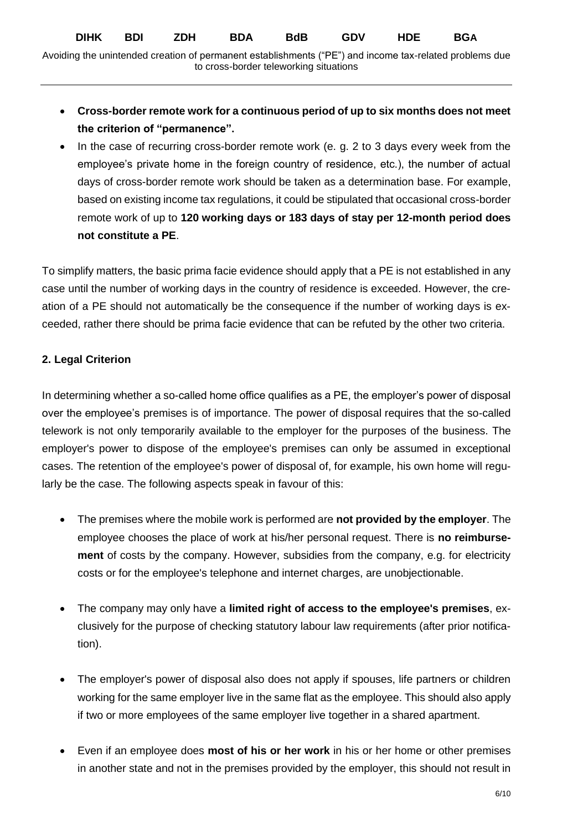Avoiding the unintended creation of permanent establishments ("PE") and income tax-related problems due to cross-border teleworking situations

- **Cross-border remote work for a continuous period of up to six months does not meet the criterion of "permanence".**
- In the case of recurring cross-border remote work (e. g. 2 to 3 days every week from the employee's private home in the foreign country of residence, etc.), the number of actual days of cross-border remote work should be taken as a determination base. For example, based on existing income tax regulations, it could be stipulated that occasional cross-border remote work of up to **120 working days or 183 days of stay per 12-month period does not constitute a PE**.

To simplify matters, the basic prima facie evidence should apply that a PE is not established in any case until the number of working days in the country of residence is exceeded. However, the creation of a PE should not automatically be the consequence if the number of working days is exceeded, rather there should be prima facie evidence that can be refuted by the other two criteria.

# **2. Legal Criterion**

In determining whether a so-called home office qualifies as a PE, the employer's power of disposal over the employee's premises is of importance. The power of disposal requires that the so-called telework is not only temporarily available to the employer for the purposes of the business. The employer's power to dispose of the employee's premises can only be assumed in exceptional cases. The retention of the employee's power of disposal of, for example, his own home will regularly be the case. The following aspects speak in favour of this:

- The premises where the mobile work is performed are **not provided by the employer**. The employee chooses the place of work at his/her personal request. There is **no reimbursement** of costs by the company. However, subsidies from the company, e.g. for electricity costs or for the employee's telephone and internet charges, are unobjectionable.
- The company may only have a **limited right of access to the employee's premises**, exclusively for the purpose of checking statutory labour law requirements (after prior notification).
- The employer's power of disposal also does not apply if spouses, life partners or children working for the same employer live in the same flat as the employee. This should also apply if two or more employees of the same employer live together in a shared apartment.
- Even if an employee does **most of his or her work** in his or her home or other premises in another state and not in the premises provided by the employer, this should not result in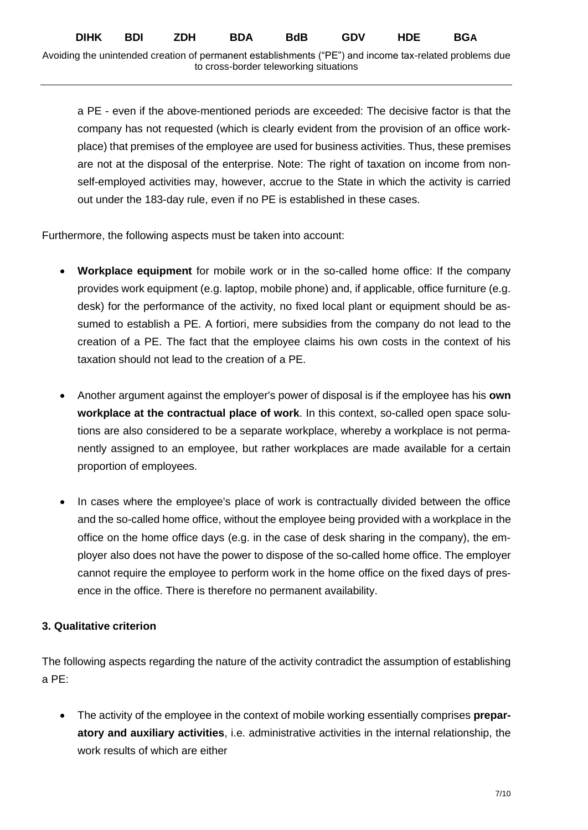a PE - even if the above-mentioned periods are exceeded: The decisive factor is that the company has not requested (which is clearly evident from the provision of an office workplace) that premises of the employee are used for business activities. Thus, these premises are not at the disposal of the enterprise. Note: The right of taxation on income from nonself-employed activities may, however, accrue to the State in which the activity is carried out under the 183-day rule, even if no PE is established in these cases.

Furthermore, the following aspects must be taken into account:

- **Workplace equipment** for mobile work or in the so-called home office: If the company provides work equipment (e.g. laptop, mobile phone) and, if applicable, office furniture (e.g. desk) for the performance of the activity, no fixed local plant or equipment should be assumed to establish a PE. A fortiori, mere subsidies from the company do not lead to the creation of a PE. The fact that the employee claims his own costs in the context of his taxation should not lead to the creation of a PE.
- Another argument against the employer's power of disposal is if the employee has his **own workplace at the contractual place of work**. In this context, so-called open space solutions are also considered to be a separate workplace, whereby a workplace is not permanently assigned to an employee, but rather workplaces are made available for a certain proportion of employees.
- In cases where the employee's place of work is contractually divided between the office and the so-called home office, without the employee being provided with a workplace in the office on the home office days (e.g. in the case of desk sharing in the company), the employer also does not have the power to dispose of the so-called home office. The employer cannot require the employee to perform work in the home office on the fixed days of presence in the office. There is therefore no permanent availability.

# **3. Qualitative criterion**

The following aspects regarding the nature of the activity contradict the assumption of establishing a PE:

• The activity of the employee in the context of mobile working essentially comprises **preparatory and auxiliary activities**, i.e. administrative activities in the internal relationship, the work results of which are either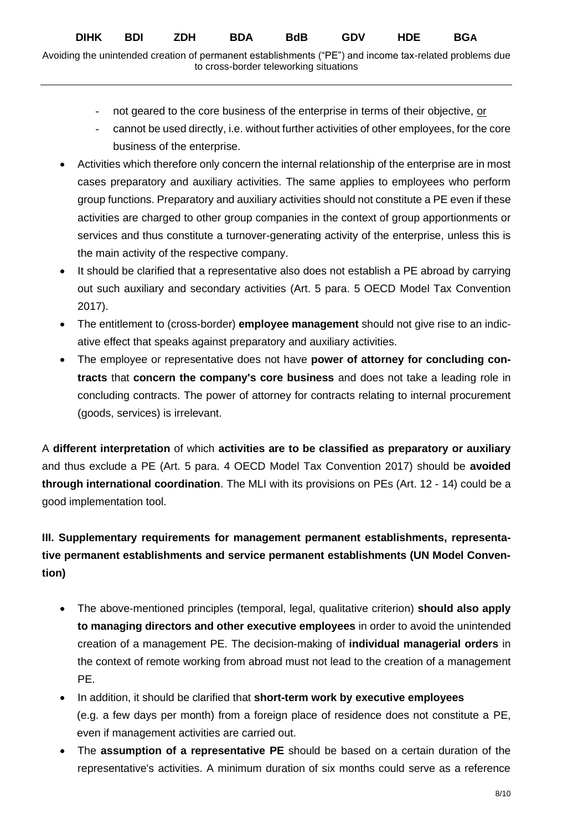- not geared to the core business of the enterprise in terms of their objective, or
- cannot be used directly, i.e. without further activities of other employees, for the core business of the enterprise.
- Activities which therefore only concern the internal relationship of the enterprise are in most cases preparatory and auxiliary activities. The same applies to employees who perform group functions. Preparatory and auxiliary activities should not constitute a PE even if these activities are charged to other group companies in the context of group apportionments or services and thus constitute a turnover-generating activity of the enterprise, unless this is the main activity of the respective company.
- It should be clarified that a representative also does not establish a PE abroad by carrying out such auxiliary and secondary activities (Art. 5 para. 5 OECD Model Tax Convention 2017).
- The entitlement to (cross-border) **employee management** should not give rise to an indicative effect that speaks against preparatory and auxiliary activities.
- The employee or representative does not have **power of attorney for concluding contracts** that **concern the company's core business** and does not take a leading role in concluding contracts. The power of attorney for contracts relating to internal procurement (goods, services) is irrelevant.

A **different interpretation** of which **activities are to be classified as preparatory or auxiliary** and thus exclude a PE (Art. 5 para. 4 OECD Model Tax Convention 2017) should be **avoided through international coordination**. The MLI with its provisions on PEs (Art. 12 - 14) could be a good implementation tool.

# **III. Supplementary requirements for management permanent establishments, representative permanent establishments and service permanent establishments (UN Model Convention)**

- The above-mentioned principles (temporal, legal, qualitative criterion) **should also apply to managing directors and other executive employees** in order to avoid the unintended creation of a management PE. The decision-making of **individual managerial orders** in the context of remote working from abroad must not lead to the creation of a management PE.
- In addition, it should be clarified that **short-term work by executive employees** (e.g. a few days per month) from a foreign place of residence does not constitute a PE, even if management activities are carried out.
- The **assumption of a representative PE** should be based on a certain duration of the representative's activities. A minimum duration of six months could serve as a reference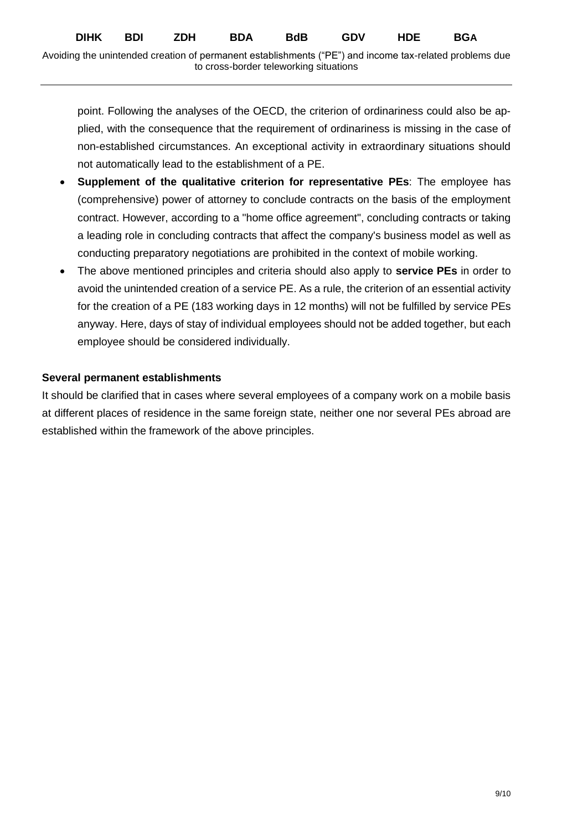point. Following the analyses of the OECD, the criterion of ordinariness could also be applied, with the consequence that the requirement of ordinariness is missing in the case of non-established circumstances. An exceptional activity in extraordinary situations should not automatically lead to the establishment of a PE.

- **Supplement of the qualitative criterion for representative PEs**: The employee has (comprehensive) power of attorney to conclude contracts on the basis of the employment contract. However, according to a "home office agreement", concluding contracts or taking a leading role in concluding contracts that affect the company's business model as well as conducting preparatory negotiations are prohibited in the context of mobile working.
- The above mentioned principles and criteria should also apply to **service PEs** in order to avoid the unintended creation of a service PE. As a rule, the criterion of an essential activity for the creation of a PE (183 working days in 12 months) will not be fulfilled by service PEs anyway. Here, days of stay of individual employees should not be added together, but each employee should be considered individually.

## **Several permanent establishments**

It should be clarified that in cases where several employees of a company work on a mobile basis at different places of residence in the same foreign state, neither one nor several PEs abroad are established within the framework of the above principles.